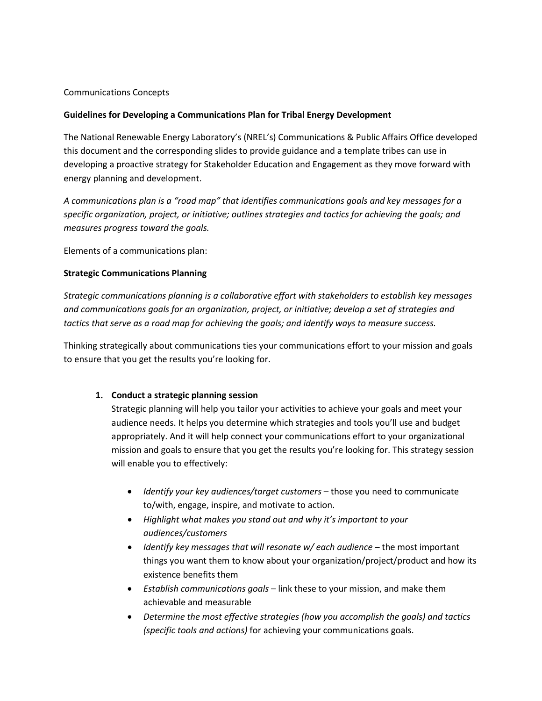## Communications Concepts

## **Guidelines for Developing a Communications Plan for Tribal Energy Development**

The National Renewable Energy Laboratory's (NREL's) Communications & Public Affairs Office developed this document and the corresponding slides to provide guidance and a template tribes can use in developing a proactive strategy for Stakeholder Education and Engagement as they move forward with energy planning and development.

*A communications plan is a "road map" that identifies communications goals and key messages for a specific organization, project, or initiative; outlines strategies and tactics for achieving the goals; and measures progress toward the goals.*

Elements of a communications plan:

## **Strategic Communications Planning**

*Strategic communications planning is a collaborative effort with stakeholders to establish key messages and communications goals for an organization, project, or initiative; develop a set of strategies and tactics that serve as a road map for achieving the goals; and identify ways to measure success.*

Thinking strategically about communications ties your communications effort to your mission and goals to ensure that you get the results you're looking for.

#### **1. Conduct a strategic planning session**

Strategic planning will help you tailor your activities to achieve your goals and meet your audience needs. It helps you determine which strategies and tools you'll use and budget appropriately. And it will help connect your communications effort to your organizational mission and goals to ensure that you get the results you're looking for. This strategy session will enable you to effectively:

- *Identify your key audiences/target customers* those you need to communicate to/with, engage, inspire, and motivate to action.
- *Highlight what makes you stand out and why it's important to your audiences/customers*
- *Identify key messages that will resonate w/ each audience* the most important things you want them to know about your organization/project/product and how its existence benefits them
- *Establish communications goals* link these to your mission, and make them achievable and measurable
- *Determine the most effective strategies (how you accomplish the goals) and tactics (specific tools and actions)* for achieving your communications goals.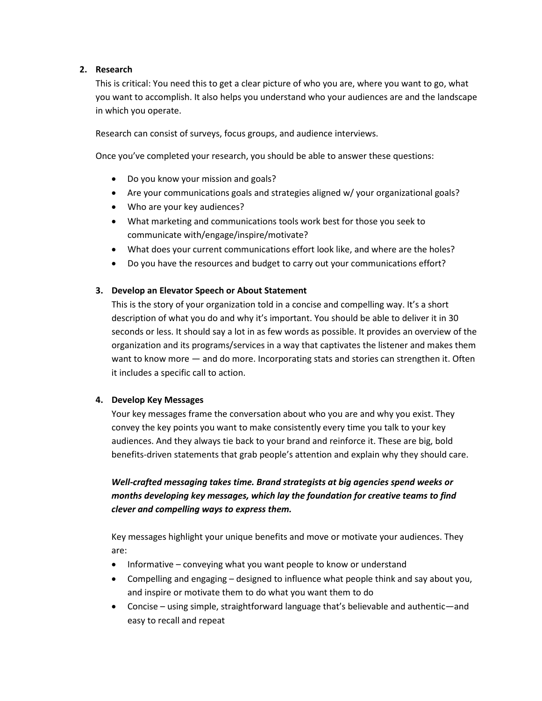## **2. Research**

This is critical: You need this to get a clear picture of who you are, where you want to go, what you want to accomplish. It also helps you understand who your audiences are and the landscape in which you operate.

Research can consist of surveys, focus groups, and audience interviews.

Once you've completed your research, you should be able to answer these questions:

- Do you know your mission and goals?
- Are your communications goals and strategies aligned w/ your organizational goals?
- Who are your key audiences?
- What marketing and communications tools work best for those you seek to communicate with/engage/inspire/motivate?
- What does your current communications effort look like, and where are the holes?
- Do you have the resources and budget to carry out your communications effort?

## **3. Develop an Elevator Speech or About Statement**

This is the story of your organization told in a concise and compelling way. It's a short description of what you do and why it's important. You should be able to deliver it in 30 seconds or less. It should say a lot in as few words as possible. It provides an overview of the organization and its programs/services in a way that captivates the listener and makes them want to know more — and do more. Incorporating stats and stories can strengthen it. Often it includes a specific call to action.

#### **4. Develop Key Messages**

Your key messages frame the conversation about who you are and why you exist. They convey the key points you want to make consistently every time you talk to your key audiences. And they always tie back to your brand and reinforce it. These are big, bold benefits-driven statements that grab people's attention and explain why they should care.

# *Well-crafted messaging takes time. Brand strategists at big agencies spend weeks or months developing key messages, which lay the foundation for creative teams to find clever and compelling ways to express them.*

Key messages highlight your unique benefits and move or motivate your audiences. They are:

- Informative conveying what you want people to know or understand
- Compelling and engaging designed to influence what people think and say about you, and inspire or motivate them to do what you want them to do
- Concise using simple, straightforward language that's believable and authentic—and easy to recall and repeat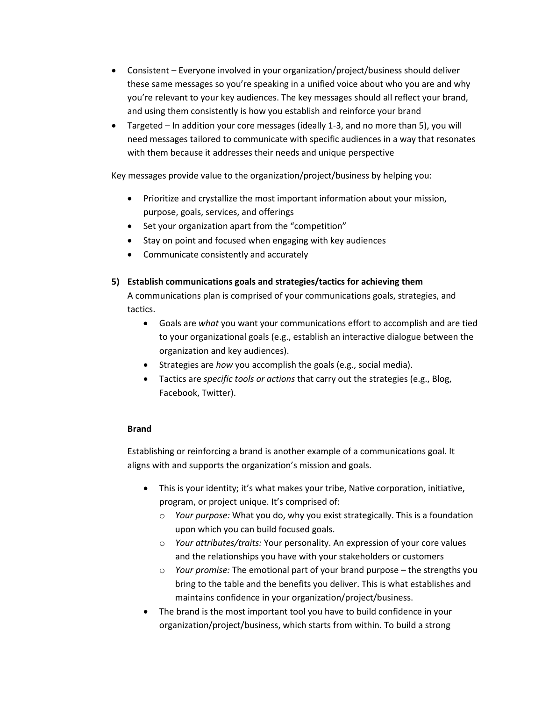- Consistent Everyone involved in your organization/project/business should deliver these same messages so you're speaking in a unified voice about who you are and why you're relevant to your key audiences. The key messages should all reflect your brand, and using them consistently is how you establish and reinforce your brand
- Targeted In addition your core messages (ideally 1-3, and no more than 5), you will need messages tailored to communicate with specific audiences in a way that resonates with them because it addresses their needs and unique perspective

Key messages provide value to the organization/project/business by helping you:

- Prioritize and crystallize the most important information about your mission, purpose, goals, services, and offerings
- Set your organization apart from the "competition"
- Stay on point and focused when engaging with key audiences
- Communicate consistently and accurately
- **5) Establish communications goals and strategies/tactics for achieving them**

A communications plan is comprised of your communications goals, strategies, and tactics.

- Goals are *what* you want your communications effort to accomplish and are tied to your organizational goals (e.g., establish an interactive dialogue between the organization and key audiences).
- Strategies are *how* you accomplish the goals (e.g., social media).
- Tactics are *specific tools or actions* that carry out the strategies (e.g., Blog, Facebook, Twitter).

#### **Brand**

Establishing or reinforcing a brand is another example of a communications goal. It aligns with and supports the organization's mission and goals.

- This is your identity; it's what makes your tribe, Native corporation, initiative, program, or project unique. It's comprised of:
	- o *Your purpose:* What you do, why you exist strategically. This is a foundation upon which you can build focused goals.
	- o *Your attributes/traits:* Your personality. An expression of your core values and the relationships you have with your stakeholders or customers
	- o *Your promise:* The emotional part of your brand purpose the strengths you bring to the table and the benefits you deliver. This is what establishes and maintains confidence in your organization/project/business.
- The brand is the most important tool you have to build confidence in your organization/project/business, which starts from within. To build a strong